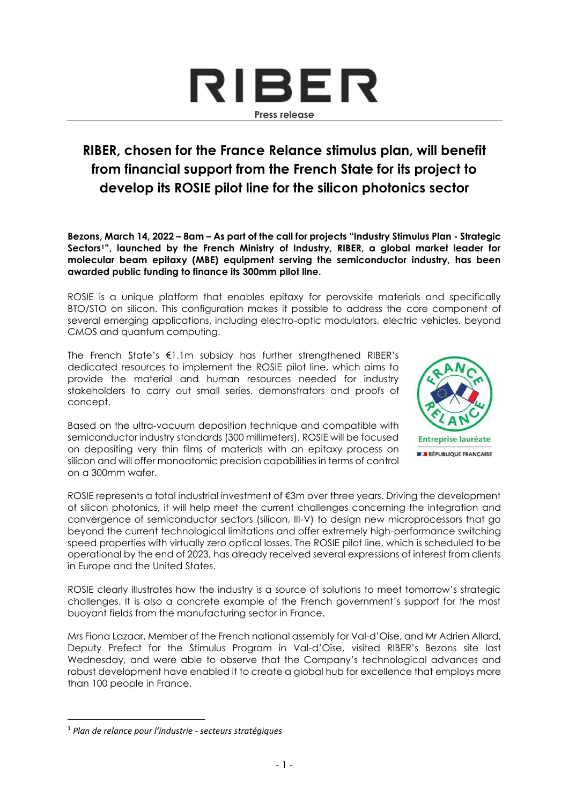

## **RIBER, chosen for the France Relance stimulus plan, will benefit from financial support from the French State for its project to develop its ROSIE pilot line for the silicon photonics sector**

**Bezons, March 14, 2022 – 8am – As part of the call for projects "Industry Stimulus Plan - Strategic Sectors1", launched by the French Ministry of Industry, RIBER, a global market leader for molecular beam epitaxy (MBE) equipment serving the semiconductor industry, has been awarded public funding to finance its 300mm pilot line.**

ROSIE is a unique platform that enables epitaxy for perovskite materials and specifically BTO/STO on silicon. This configuration makes it possible to address the core component of several emerging applications, including electro-optic modulators, electric vehicles, beyond CMOS and quantum computing.

The French State's €1.1m subsidy has further strengthened RIBER's dedicated resources to implement the ROSIE pilot line, which aims to provide the material and human resources needed for industry stakeholders to carry out small series, demonstrators and proofs of concept.

Based on the ultra-vacuum deposition technique and compatible with semiconductor industry standards (300 millimeters), ROSIE will be focused on depositing very thin films of materials with an epitaxy process on silicon and will offer monoatomic precision capabilities in terms of control on a 300mm wafer.



ROSIE represents a total industrial investment of €3m over three years. Driving the development of silicon photonics, it will help meet the current challenges concerning the integration and convergence of semiconductor sectors (silicon, III-V) to design new microprocessors that go beyond the current technological limitations and offer extremely high-performance switching speed properties with virtually zero optical losses. The ROSIE pilot line, which is scheduled to be operational by the end of 2023, has already received several expressions of interest from clients in Europe and the United States.

ROSIE clearly illustrates how the industry is a source of solutions to meet tomorrow's strategic challenges. It is also a concrete example of the French government's support for the most buoyant fields from the manufacturing sector in France.

Mrs Fiona Lazaar, Member of the French national assembly for Val-d'Oise, and Mr Adrien Allard, Deputy Prefect for the Stimulus Program in Val-d'Oise, visited RIBER's Bezons site last Wednesday, and were able to observe that the Company's technological advances and robust development have enabled it to create a global hub for excellence that employs more than 100 people in France.

<sup>1</sup> *Plan de relance pour l'industrie - secteurs stratégiques*